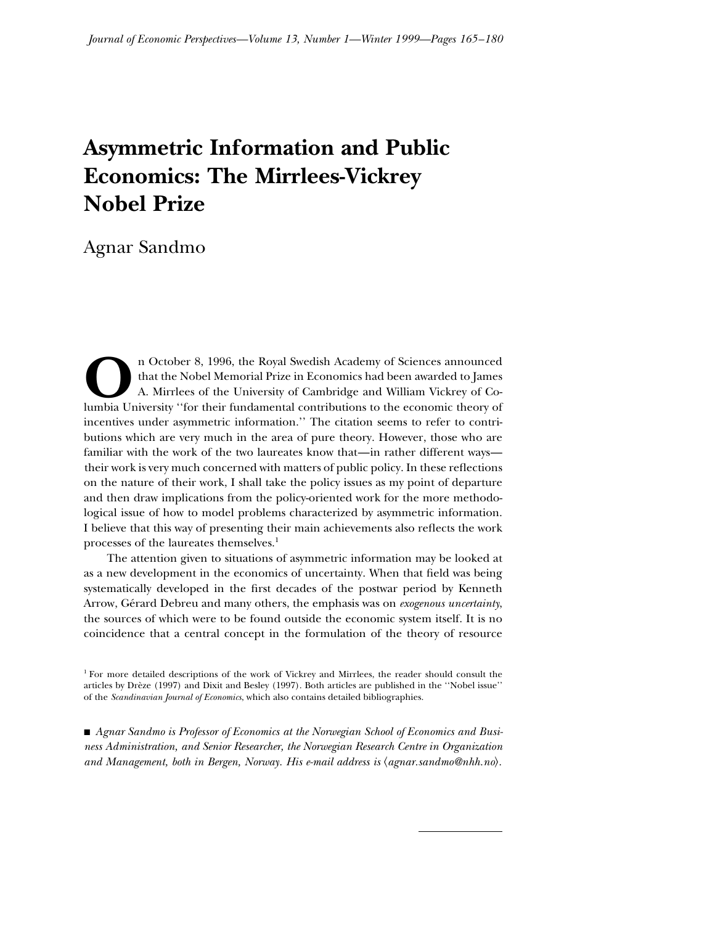# **Asymmetric Information and Public Economics: The Mirrlees-Vickrey Nobel Prize**

## Agnar Sandmo

**O**n October 8, 1996, the Royal Swedish Academy of Sciences announced that the Nobel Memorial Prize in Economics had been awarded to James A. Mirrlees of the University of Cambridge and William Vickrey of Columbia Universi that the Nobel Memorial Prize in Economics had been awarded to James A. Mirrlees of the University of Cambridge and William Vickrey of Columbia University ''for their fundamental contributions to the economic theory of incentives under asymmetric information.'' The citation seems to refer to contributions which are very much in the area of pure theory. However, those who are familiar with the work of the two laureates know that—in rather different ways their work is very much concerned with matters of public policy. In these reflections on the nature of their work, I shall take the policy issues as my point of departure and then draw implications from the policy-oriented work for the more methodological issue of how to model problems characterized by asymmetric information. I believe that this way of presenting their main achievements also reflects the work processes of the laureates themselves.<sup>1</sup>

The attention given to situations of asymmetric information may be looked at as a new development in the economics of uncertainty. When that field was being systematically developed in the first decades of the postwar period by Kenneth Arrow, Ge´rard Debreu and many others, the emphasis was on *exogenous uncertainty*, the sources of which were to be found outside the economic system itself. It is no coincidence that a central concept in the formulation of the theory of resource

<sup>1</sup> For more detailed descriptions of the work of Vickrey and Mirrlees, the reader should consult the articles by Dre`ze (1997) and Dixit and Besley (1997). Both articles are published in the ''Nobel issue'' of the *Scandinavian Journal of Economics*, which also contains detailed bibliographies.

■ Agnar Sandmo is Professor of Economics at the Norwegian School of Economics and Busi*ness Administration, and Senior Researcher, the Norwegian Research Centre in Organization and Management, both in Bergen, Norway. His e-mail address is*  $\langle \text{agnar.sandmo@nhh.no} \rangle$ .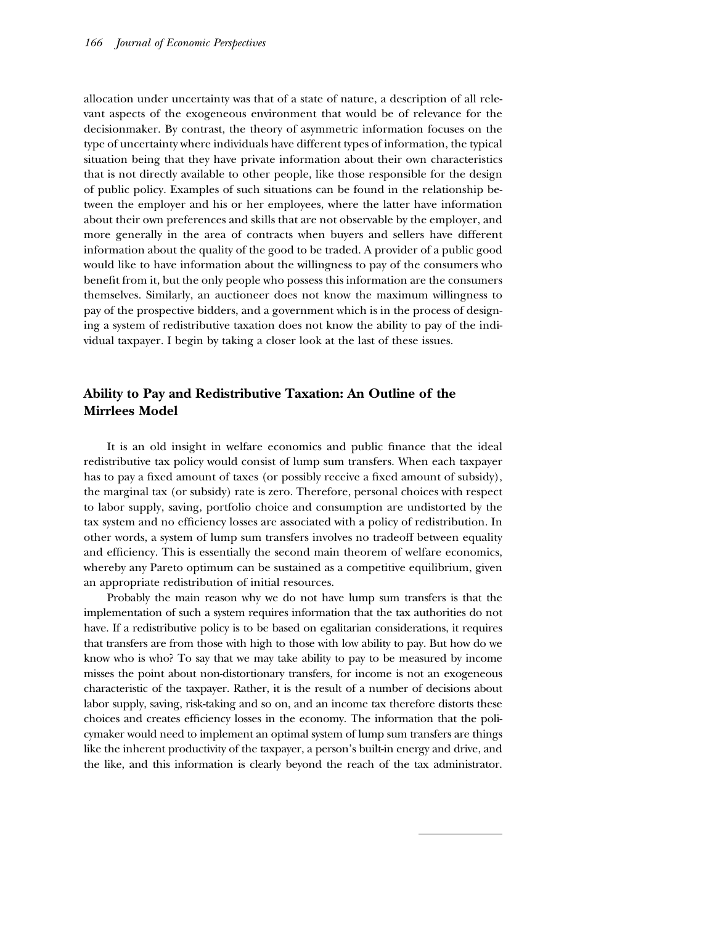allocation under uncertainty was that of a state of nature, a description of all relevant aspects of the exogeneous environment that would be of relevance for the decisionmaker. By contrast, the theory of asymmetric information focuses on the type of uncertainty where individuals have different types of information, the typical situation being that they have private information about their own characteristics that is not directly available to other people, like those responsible for the design of public policy. Examples of such situations can be found in the relationship between the employer and his or her employees, where the latter have information about their own preferences and skills that are not observable by the employer, and more generally in the area of contracts when buyers and sellers have different information about the quality of the good to be traded. A provider of a public good would like to have information about the willingness to pay of the consumers who benefit from it, but the only people who possess this information are the consumers themselves. Similarly, an auctioneer does not know the maximum willingness to pay of the prospective bidders, and a government which is in the process of designing a system of redistributive taxation does not know the ability to pay of the individual taxpayer. I begin by taking a closer look at the last of these issues.

### **Ability to Pay and Redistributive Taxation: An Outline of the Mirrlees Model**

It is an old insight in welfare economics and public finance that the ideal redistributive tax policy would consist of lump sum transfers. When each taxpayer has to pay a fixed amount of taxes (or possibly receive a fixed amount of subsidy), the marginal tax (or subsidy) rate is zero. Therefore, personal choices with respect to labor supply, saving, portfolio choice and consumption are undistorted by the tax system and no efficiency losses are associated with a policy of redistribution. In other words, a system of lump sum transfers involves no tradeoff between equality and efficiency. This is essentially the second main theorem of welfare economics, whereby any Pareto optimum can be sustained as a competitive equilibrium, given an appropriate redistribution of initial resources.

Probably the main reason why we do not have lump sum transfers is that the implementation of such a system requires information that the tax authorities do not have. If a redistributive policy is to be based on egalitarian considerations, it requires that transfers are from those with high to those with low ability to pay. But how do we know who is who? To say that we may take ability to pay to be measured by income misses the point about non-distortionary transfers, for income is not an exogeneous characteristic of the taxpayer. Rather, it is the result of a number of decisions about labor supply, saving, risk-taking and so on, and an income tax therefore distorts these choices and creates efficiency losses in the economy. The information that the policymaker would need to implement an optimal system of lump sum transfers are things like the inherent productivity of the taxpayer, a person's built-in energy and drive, and the like, and this information is clearly beyond the reach of the tax administrator.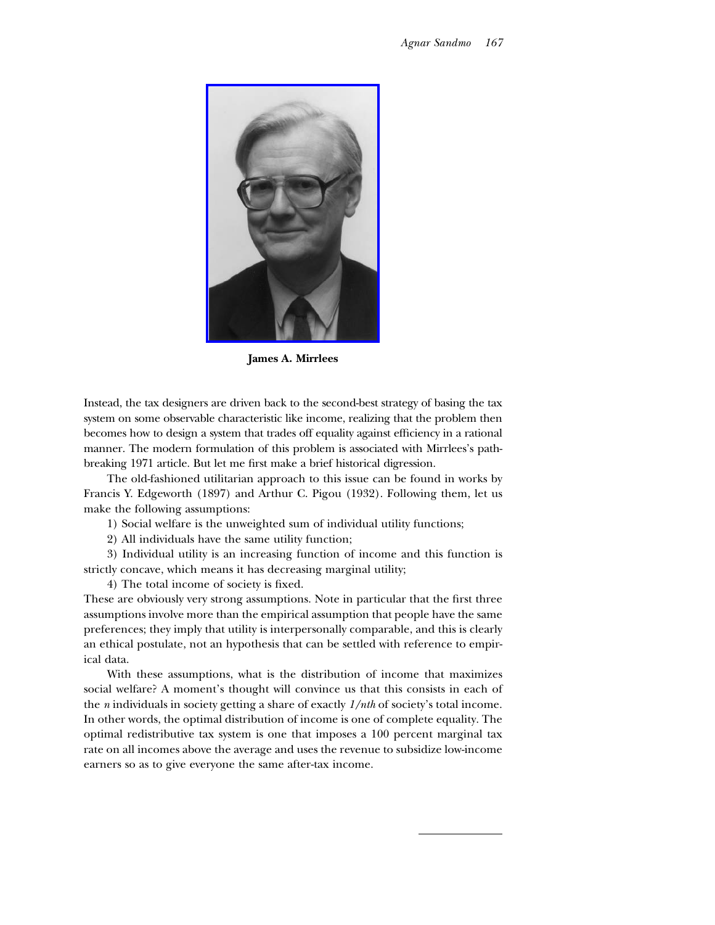*Agnar Sandmo 167*



**James A. Mirrlees**

Instead, the tax designers are driven back to the second-best strategy of basing the tax system on some observable characteristic like income, realizing that the problem then becomes how to design a system that trades off equality against efficiency in a rational manner. The modern formulation of this problem is associated with Mirrlees's pathbreaking 1971 article. But let me first make a brief historical digression.

The old-fashioned utilitarian approach to this issue can be found in works by Francis Y. Edgeworth (1897) and Arthur C. Pigou (1932). Following them, let us make the following assumptions:

1) Social welfare is the unweighted sum of individual utility functions;

2) All individuals have the same utility function;

3) Individual utility is an increasing function of income and this function is strictly concave, which means it has decreasing marginal utility;

4) The total income of society is fixed.

These are obviously very strong assumptions. Note in particular that the first three assumptions involve more than the empirical assumption that people have the same preferences; they imply that utility is interpersonally comparable, and this is clearly an ethical postulate, not an hypothesis that can be settled with reference to empirical data.

With these assumptions, what is the distribution of income that maximizes social welfare? A moment's thought will convince us that this consists in each of the *n* individuals in society getting a share of exactly *1/nth* of society's total income. In other words, the optimal distribution of income is one of complete equality. The optimal redistributive tax system is one that imposes a 100 percent marginal tax rate on all incomes above the average and uses the revenue to subsidize low-income earners so as to give everyone the same after-tax income.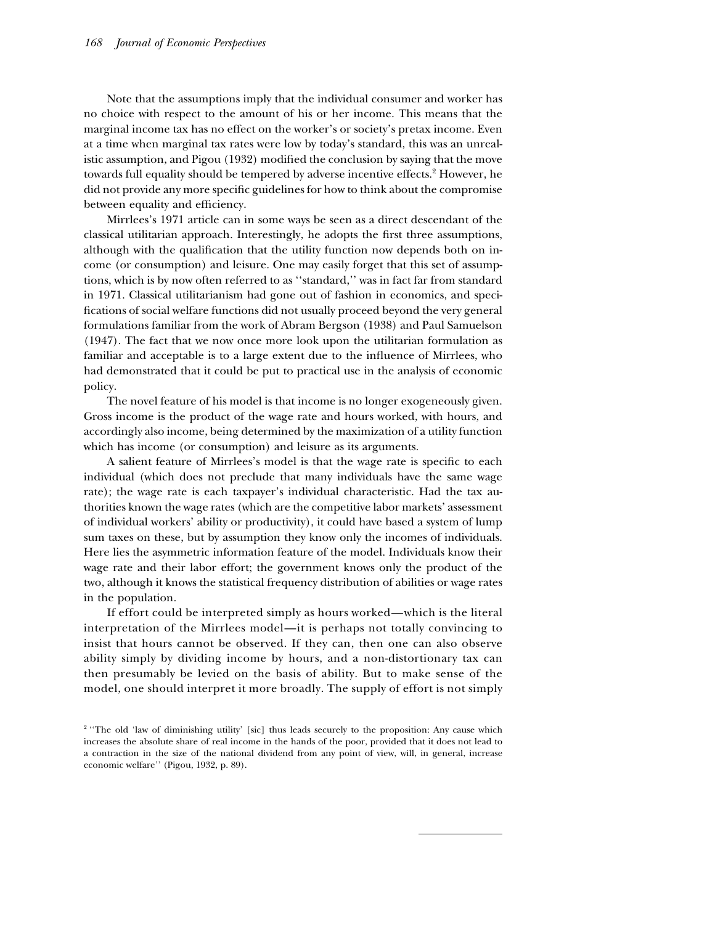Note that the assumptions imply that the individual consumer and worker has no choice with respect to the amount of his or her income. This means that the marginal income tax has no effect on the worker's or society's pretax income. Even at a time when marginal tax rates were low by today's standard, this was an unrealistic assumption, and Pigou (1932) modified the conclusion by saying that the move towards full equality should be tempered by adverse incentive effects.<sup>2</sup> However, he did not provide any more specific guidelines for how to think about the compromise between equality and efficiency.

Mirrlees's 1971 article can in some ways be seen as a direct descendant of the classical utilitarian approach. Interestingly, he adopts the first three assumptions, although with the qualification that the utility function now depends both on income (or consumption) and leisure. One may easily forget that this set of assumptions, which is by now often referred to as ''standard,'' was in fact far from standard in 1971. Classical utilitarianism had gone out of fashion in economics, and specifications of social welfare functions did not usually proceed beyond the very general formulations familiar from the work of Abram Bergson (1938) and Paul Samuelson (1947). The fact that we now once more look upon the utilitarian formulation as familiar and acceptable is to a large extent due to the influence of Mirrlees, who had demonstrated that it could be put to practical use in the analysis of economic policy.

The novel feature of his model is that income is no longer exogeneously given. Gross income is the product of the wage rate and hours worked, with hours, and accordingly also income, being determined by the maximization of a utility function which has income (or consumption) and leisure as its arguments.

A salient feature of Mirrlees's model is that the wage rate is specific to each individual (which does not preclude that many individuals have the same wage rate); the wage rate is each taxpayer's individual characteristic. Had the tax authorities known the wage rates (which are the competitive labor markets' assessment of individual workers' ability or productivity), it could have based a system of lump sum taxes on these, but by assumption they know only the incomes of individuals. Here lies the asymmetric information feature of the model. Individuals know their wage rate and their labor effort; the government knows only the product of the two, although it knows the statistical frequency distribution of abilities or wage rates in the population.

If effort could be interpreted simply as hours worked—which is the literal interpretation of the Mirrlees model—it is perhaps not totally convincing to insist that hours cannot be observed. If they can, then one can also observe ability simply by dividing income by hours, and a non-distortionary tax can then presumably be levied on the basis of ability. But to make sense of the model, one should interpret it more broadly. The supply of effort is not simply

<sup>&</sup>lt;sup>2</sup> "The old 'law of diminishing utility' [sic] thus leads securely to the proposition: Any cause which increases the absolute share of real income in the hands of the poor, provided that it does not lead to a contraction in the size of the national dividend from any point of view, will, in general, increase economic welfare'' (Pigou, 1932, p. 89).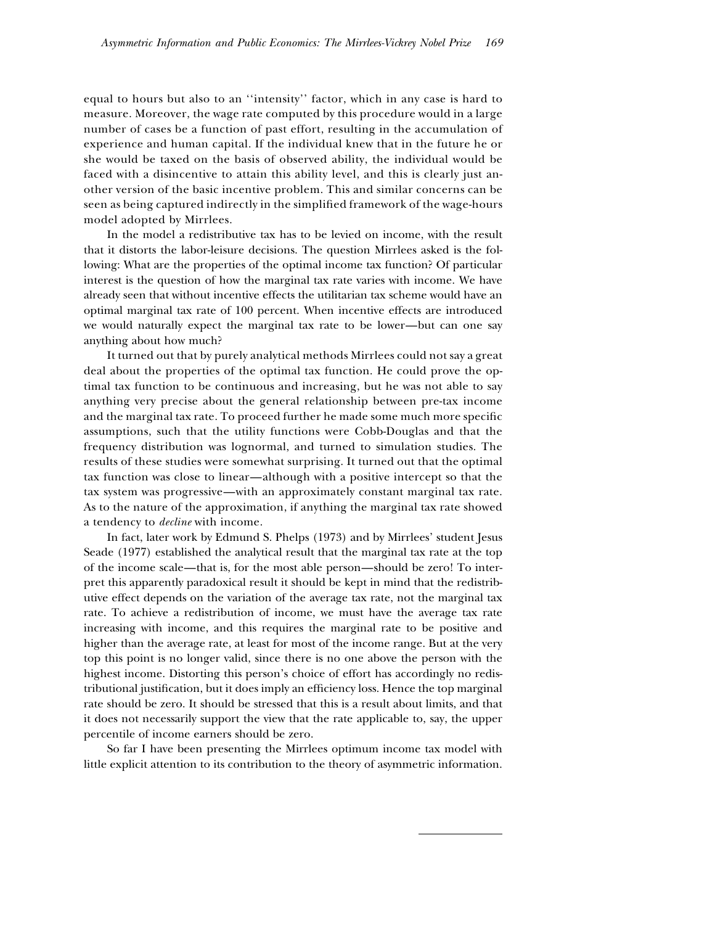equal to hours but also to an ''intensity'' factor, which in any case is hard to measure. Moreover, the wage rate computed by this procedure would in a large number of cases be a function of past effort, resulting in the accumulation of experience and human capital. If the individual knew that in the future he or she would be taxed on the basis of observed ability, the individual would be faced with a disincentive to attain this ability level, and this is clearly just another version of the basic incentive problem. This and similar concerns can be seen as being captured indirectly in the simplified framework of the wage-hours model adopted by Mirrlees.

In the model a redistributive tax has to be levied on income, with the result that it distorts the labor-leisure decisions. The question Mirrlees asked is the following: What are the properties of the optimal income tax function? Of particular interest is the question of how the marginal tax rate varies with income. We have already seen that without incentive effects the utilitarian tax scheme would have an optimal marginal tax rate of 100 percent. When incentive effects are introduced we would naturally expect the marginal tax rate to be lower—but can one say anything about how much?

It turned out that by purely analytical methods Mirrlees could not say a great deal about the properties of the optimal tax function. He could prove the optimal tax function to be continuous and increasing, but he was not able to say anything very precise about the general relationship between pre-tax income and the marginal tax rate. To proceed further he made some much more specific assumptions, such that the utility functions were Cobb-Douglas and that the frequency distribution was lognormal, and turned to simulation studies. The results of these studies were somewhat surprising. It turned out that the optimal tax function was close to linear—although with a positive intercept so that the tax system was progressive—with an approximately constant marginal tax rate. As to the nature of the approximation, if anything the marginal tax rate showed a tendency to *decline* with income.

In fact, later work by Edmund S. Phelps (1973) and by Mirrlees' student Jesus Seade (1977) established the analytical result that the marginal tax rate at the top of the income scale—that is, for the most able person—should be zero! To interpret this apparently paradoxical result it should be kept in mind that the redistributive effect depends on the variation of the average tax rate, not the marginal tax rate. To achieve a redistribution of income, we must have the average tax rate increasing with income, and this requires the marginal rate to be positive and higher than the average rate, at least for most of the income range. But at the very top this point is no longer valid, since there is no one above the person with the highest income. Distorting this person's choice of effort has accordingly no redistributional justification, but it does imply an efficiency loss. Hence the top marginal rate should be zero. It should be stressed that this is a result about limits, and that it does not necessarily support the view that the rate applicable to, say, the upper percentile of income earners should be zero.

So far I have been presenting the Mirrlees optimum income tax model with little explicit attention to its contribution to the theory of asymmetric information.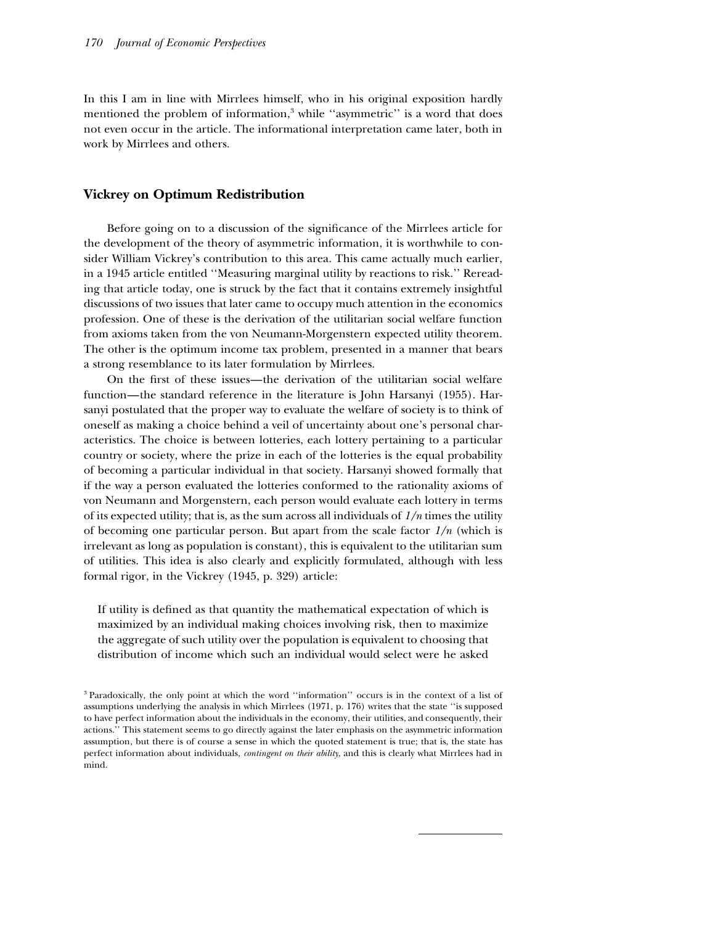In this I am in line with Mirrlees himself, who in his original exposition hardly mentioned the problem of information, $3$  while "asymmetric" is a word that does not even occur in the article. The informational interpretation came later, both in work by Mirrlees and others.

#### **Vickrey on Optimum Redistribution**

Before going on to a discussion of the significance of the Mirrlees article for the development of the theory of asymmetric information, it is worthwhile to consider William Vickrey's contribution to this area. This came actually much earlier, in a 1945 article entitled ''Measuring marginal utility by reactions to risk.'' Rereading that article today, one is struck by the fact that it contains extremely insightful discussions of two issues that later came to occupy much attention in the economics profession. One of these is the derivation of the utilitarian social welfare function from axioms taken from the von Neumann-Morgenstern expected utility theorem. The other is the optimum income tax problem, presented in a manner that bears a strong resemblance to its later formulation by Mirrlees.

On the first of these issues—the derivation of the utilitarian social welfare function—the standard reference in the literature is John Harsanyi (1955). Harsanyi postulated that the proper way to evaluate the welfare of society is to think of oneself as making a choice behind a veil of uncertainty about one's personal characteristics. The choice is between lotteries, each lottery pertaining to a particular country or society, where the prize in each of the lotteries is the equal probability of becoming a particular individual in that society. Harsanyi showed formally that if the way a person evaluated the lotteries conformed to the rationality axioms of von Neumann and Morgenstern, each person would evaluate each lottery in terms of its expected utility; that is, as the sum across all individuals of *1/n* times the utility of becoming one particular person. But apart from the scale factor *1/n* (which is irrelevant as long as population is constant), this is equivalent to the utilitarian sum of utilities. This idea is also clearly and explicitly formulated, although with less formal rigor, in the Vickrey (1945, p. 329) article:

If utility is defined as that quantity the mathematical expectation of which is maximized by an individual making choices involving risk, then to maximize the aggregate of such utility over the population is equivalent to choosing that distribution of income which such an individual would select were he asked

<sup>3</sup> Paradoxically, the only point at which the word ''information'' occurs is in the context of a list of assumptions underlying the analysis in which Mirrlees (1971, p. 176) writes that the state ''is supposed to have perfect information about the individuals in the economy, their utilities, and consequently, their actions.'' This statement seems to go directly against the later emphasis on the asymmetric information assumption, but there is of course a sense in which the quoted statement is true; that is, the state has perfect information about individuals, *contingent on their ability*, and this is clearly what Mirrlees had in mind.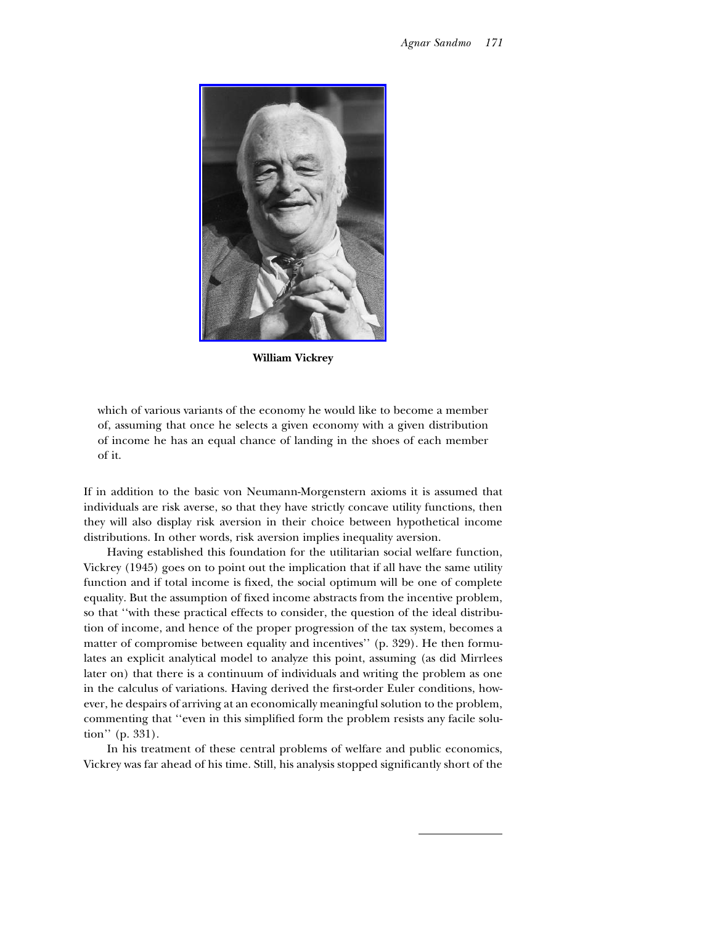

**William Vickrey**

which of various variants of the economy he would like to become a member of, assuming that once he selects a given economy with a given distribution of income he has an equal chance of landing in the shoes of each member of it.

If in addition to the basic von Neumann-Morgenstern axioms it is assumed that individuals are risk averse, so that they have strictly concave utility functions, then they will also display risk aversion in their choice between hypothetical income distributions. In other words, risk aversion implies inequality aversion.

Having established this foundation for the utilitarian social welfare function, Vickrey (1945) goes on to point out the implication that if all have the same utility function and if total income is fixed, the social optimum will be one of complete equality. But the assumption of fixed income abstracts from the incentive problem, so that ''with these practical effects to consider, the question of the ideal distribution of income, and hence of the proper progression of the tax system, becomes a matter of compromise between equality and incentives'' (p. 329). He then formulates an explicit analytical model to analyze this point, assuming (as did Mirrlees later on) that there is a continuum of individuals and writing the problem as one in the calculus of variations. Having derived the first-order Euler conditions, however, he despairs of arriving at an economically meaningful solution to the problem, commenting that ''even in this simplified form the problem resists any facile solution'' (p. 331).

In his treatment of these central problems of welfare and public economics, Vickrey was far ahead of his time. Still, his analysis stopped significantly short of the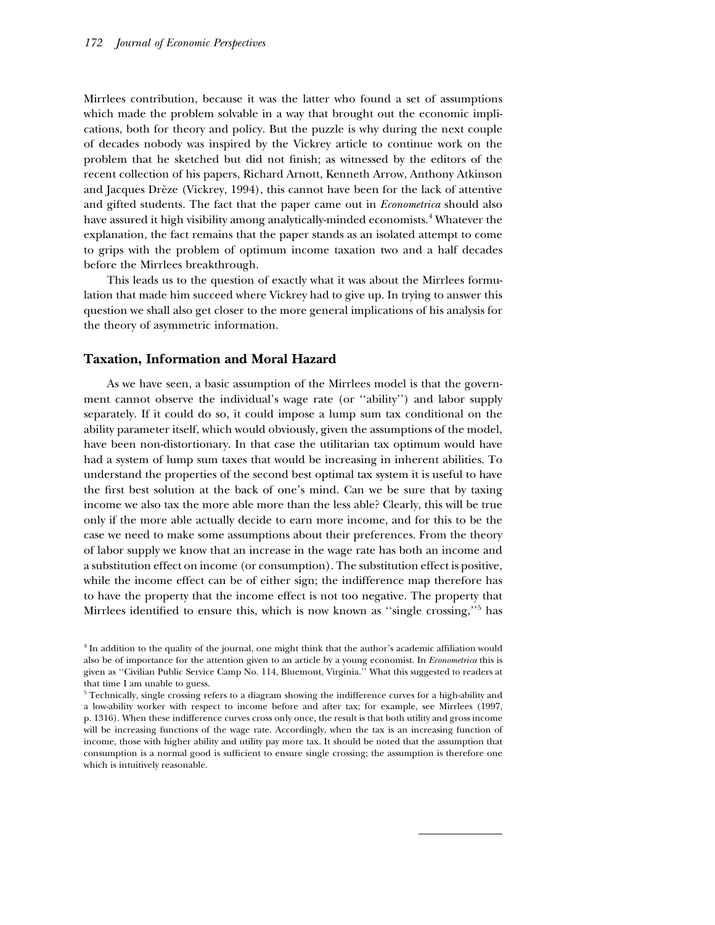Mirrlees contribution, because it was the latter who found a set of assumptions which made the problem solvable in a way that brought out the economic implications, both for theory and policy. But the puzzle is why during the next couple of decades nobody was inspired by the Vickrey article to continue work on the problem that he sketched but did not finish; as witnessed by the editors of the recent collection of his papers, Richard Arnott, Kenneth Arrow, Anthony Atkinson and Jacques Dre`ze (Vickrey, 1994), this cannot have been for the lack of attentive and gifted students. The fact that the paper came out in *Econometrica* should also have assured it high visibility among analytically-minded economists.<sup>4</sup> Whatever the explanation, the fact remains that the paper stands as an isolated attempt to come to grips with the problem of optimum income taxation two and a half decades before the Mirrlees breakthrough.

This leads us to the question of exactly what it was about the Mirrlees formulation that made him succeed where Vickrey had to give up. In trying to answer this question we shall also get closer to the more general implications of his analysis for the theory of asymmetric information.

#### **Taxation, Information and Moral Hazard**

As we have seen, a basic assumption of the Mirrlees model is that the government cannot observe the individual's wage rate (or ''ability'') and labor supply separately. If it could do so, it could impose a lump sum tax conditional on the ability parameter itself, which would obviously, given the assumptions of the model, have been non-distortionary. In that case the utilitarian tax optimum would have had a system of lump sum taxes that would be increasing in inherent abilities. To understand the properties of the second best optimal tax system it is useful to have the first best solution at the back of one's mind. Can we be sure that by taxing income we also tax the more able more than the less able? Clearly, this will be true only if the more able actually decide to earn more income, and for this to be the case we need to make some assumptions about their preferences. From the theory of labor supply we know that an increase in the wage rate has both an income and a substitution effect on income (or consumption). The substitution effect is positive, while the income effect can be of either sign; the indifference map therefore has to have the property that the income effect is not too negative. The property that Mirrlees identified to ensure this, which is now known as ''single crossing,''<sup>5</sup> has

<sup>&</sup>lt;sup>4</sup> In addition to the quality of the journal, one might think that the author's academic affiliation would also be of importance for the attention given to an article by a young economist. In *Econometrica* this is given as ''Civilian Public Service Camp No. 114, Bluemont, Virginia.'' What this suggested to readers at that time I am unable to guess.

 $5$  Technically, single crossing refers to a diagram showing the indifference curves for a high-ability and a low-ability worker with respect to income before and after tax; for example, see Mirrlees (1997, p. 1316). When these indifference curves cross only once, the result is that both utility and gross income will be increasing functions of the wage rate. Accordingly, when the tax is an increasing function of income, those with higher ability and utility pay more tax. It should be noted that the assumption that consumption is a normal good is sufficient to ensure single crossing; the assumption is therefore one which is intuitively reasonable.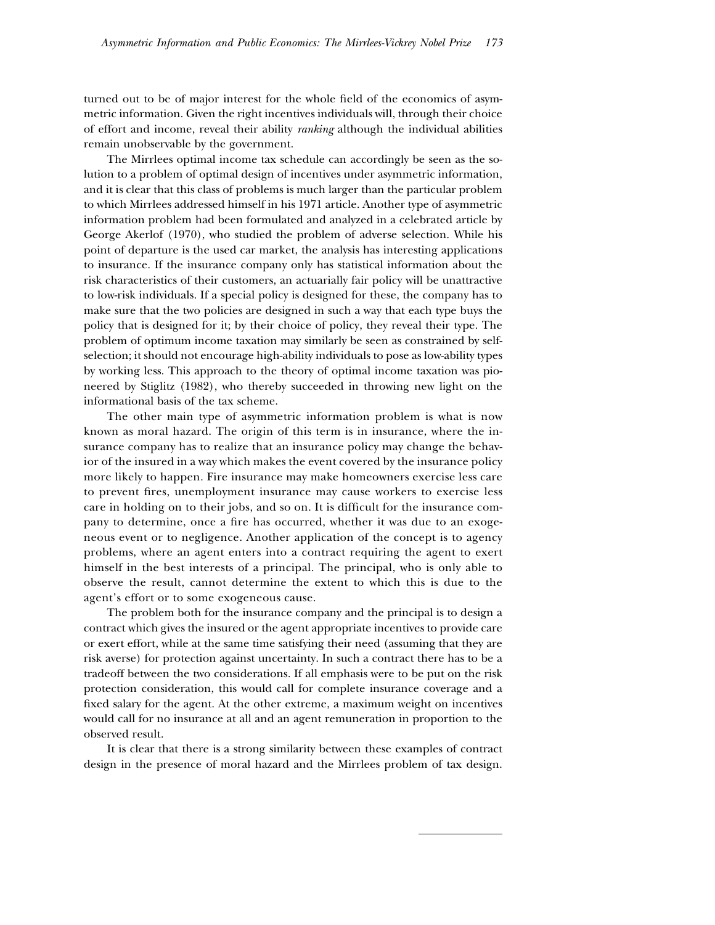turned out to be of major interest for the whole field of the economics of asymmetric information. Given the right incentives individuals will, through their choice of effort and income, reveal their ability *ranking* although the individual abilities remain unobservable by the government.

The Mirrlees optimal income tax schedule can accordingly be seen as the solution to a problem of optimal design of incentives under asymmetric information, and it is clear that this class of problems is much larger than the particular problem to which Mirrlees addressed himself in his 1971 article. Another type of asymmetric information problem had been formulated and analyzed in a celebrated article by George Akerlof (1970), who studied the problem of adverse selection. While his point of departure is the used car market, the analysis has interesting applications to insurance. If the insurance company only has statistical information about the risk characteristics of their customers, an actuarially fair policy will be unattractive to low-risk individuals. If a special policy is designed for these, the company has to make sure that the two policies are designed in such a way that each type buys the policy that is designed for it; by their choice of policy, they reveal their type. The problem of optimum income taxation may similarly be seen as constrained by selfselection; it should not encourage high-ability individuals to pose as low-ability types by working less. This approach to the theory of optimal income taxation was pioneered by Stiglitz (1982), who thereby succeeded in throwing new light on the informational basis of the tax scheme.

The other main type of asymmetric information problem is what is now known as moral hazard. The origin of this term is in insurance, where the insurance company has to realize that an insurance policy may change the behavior of the insured in a way which makes the event covered by the insurance policy more likely to happen. Fire insurance may make homeowners exercise less care to prevent fires, unemployment insurance may cause workers to exercise less care in holding on to their jobs, and so on. It is difficult for the insurance company to determine, once a fire has occurred, whether it was due to an exogeneous event or to negligence. Another application of the concept is to agency problems, where an agent enters into a contract requiring the agent to exert himself in the best interests of a principal. The principal, who is only able to observe the result, cannot determine the extent to which this is due to the agent's effort or to some exogeneous cause.

The problem both for the insurance company and the principal is to design a contract which gives the insured or the agent appropriate incentives to provide care or exert effort, while at the same time satisfying their need (assuming that they are risk averse) for protection against uncertainty. In such a contract there has to be a tradeoff between the two considerations. If all emphasis were to be put on the risk protection consideration, this would call for complete insurance coverage and a fixed salary for the agent. At the other extreme, a maximum weight on incentives would call for no insurance at all and an agent remuneration in proportion to the observed result.

It is clear that there is a strong similarity between these examples of contract design in the presence of moral hazard and the Mirrlees problem of tax design.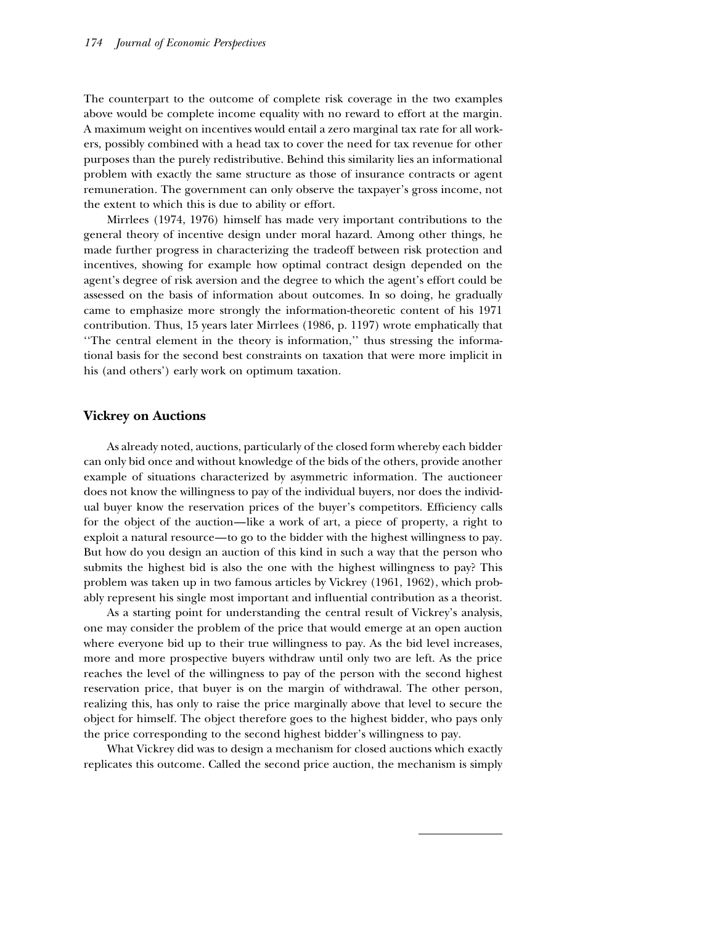The counterpart to the outcome of complete risk coverage in the two examples above would be complete income equality with no reward to effort at the margin. A maximum weight on incentives would entail a zero marginal tax rate for all workers, possibly combined with a head tax to cover the need for tax revenue for other purposes than the purely redistributive. Behind this similarity lies an informational problem with exactly the same structure as those of insurance contracts or agent remuneration. The government can only observe the taxpayer's gross income, not the extent to which this is due to ability or effort.

Mirrlees (1974, 1976) himself has made very important contributions to the general theory of incentive design under moral hazard. Among other things, he made further progress in characterizing the tradeoff between risk protection and incentives, showing for example how optimal contract design depended on the agent's degree of risk aversion and the degree to which the agent's effort could be assessed on the basis of information about outcomes. In so doing, he gradually came to emphasize more strongly the information-theoretic content of his 1971 contribution. Thus, 15 years later Mirrlees (1986, p. 1197) wrote emphatically that ''The central element in the theory is information,'' thus stressing the informational basis for the second best constraints on taxation that were more implicit in his (and others') early work on optimum taxation.

#### **Vickrey on Auctions**

As already noted, auctions, particularly of the closed form whereby each bidder can only bid once and without knowledge of the bids of the others, provide another example of situations characterized by asymmetric information. The auctioneer does not know the willingness to pay of the individual buyers, nor does the individual buyer know the reservation prices of the buyer's competitors. Efficiency calls for the object of the auction—like a work of art, a piece of property, a right to exploit a natural resource—to go to the bidder with the highest willingness to pay. But how do you design an auction of this kind in such a way that the person who submits the highest bid is also the one with the highest willingness to pay? This problem was taken up in two famous articles by Vickrey (1961, 1962), which probably represent his single most important and influential contribution as a theorist.

As a starting point for understanding the central result of Vickrey's analysis, one may consider the problem of the price that would emerge at an open auction where everyone bid up to their true willingness to pay. As the bid level increases, more and more prospective buyers withdraw until only two are left. As the price reaches the level of the willingness to pay of the person with the second highest reservation price, that buyer is on the margin of withdrawal. The other person, realizing this, has only to raise the price marginally above that level to secure the object for himself. The object therefore goes to the highest bidder, who pays only the price corresponding to the second highest bidder's willingness to pay.

What Vickrey did was to design a mechanism for closed auctions which exactly replicates this outcome. Called the second price auction, the mechanism is simply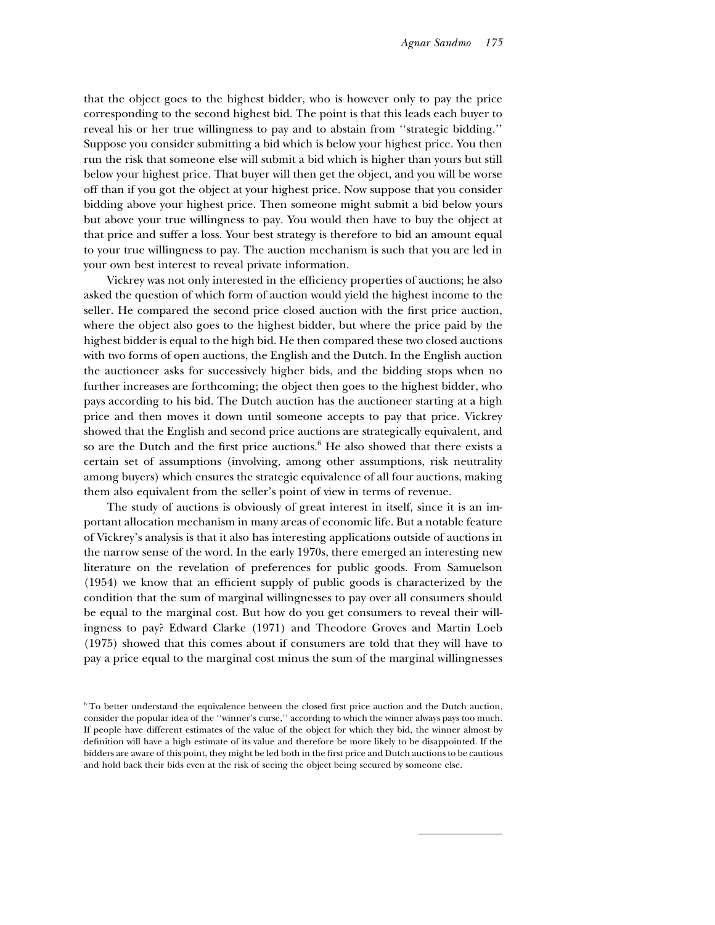that the object goes to the highest bidder, who is however only to pay the price corresponding to the second highest bid. The point is that this leads each buyer to reveal his or her true willingness to pay and to abstain from ''strategic bidding.'' Suppose you consider submitting a bid which is below your highest price. You then run the risk that someone else will submit a bid which is higher than yours but still below your highest price. That buyer will then get the object, and you will be worse off than if you got the object at your highest price. Now suppose that you consider bidding above your highest price. Then someone might submit a bid below yours but above your true willingness to pay. You would then have to buy the object at that price and suffer a loss. Your best strategy is therefore to bid an amount equal to your true willingness to pay. The auction mechanism is such that you are led in your own best interest to reveal private information.

Vickrey was not only interested in the efficiency properties of auctions; he also asked the question of which form of auction would yield the highest income to the seller. He compared the second price closed auction with the first price auction, where the object also goes to the highest bidder, but where the price paid by the highest bidder is equal to the high bid. He then compared these two closed auctions with two forms of open auctions, the English and the Dutch. In the English auction the auctioneer asks for successively higher bids, and the bidding stops when no further increases are forthcoming; the object then goes to the highest bidder, who pays according to his bid. The Dutch auction has the auctioneer starting at a high price and then moves it down until someone accepts to pay that price. Vickrey showed that the English and second price auctions are strategically equivalent, and so are the Dutch and the first price auctions.<sup>6</sup> He also showed that there exists a certain set of assumptions (involving, among other assumptions, risk neutrality among buyers) which ensures the strategic equivalence of all four auctions, making them also equivalent from the seller's point of view in terms of revenue.

The study of auctions is obviously of great interest in itself, since it is an important allocation mechanism in many areas of economic life. But a notable feature of Vickrey's analysis is that it also has interesting applications outside of auctions in the narrow sense of the word. In the early 1970s, there emerged an interesting new literature on the revelation of preferences for public goods. From Samuelson (1954) we know that an efficient supply of public goods is characterized by the condition that the sum of marginal willingnesses to pay over all consumers should be equal to the marginal cost. But how do you get consumers to reveal their willingness to pay? Edward Clarke (1971) and Theodore Groves and Martin Loeb (1975) showed that this comes about if consumers are told that they will have to pay a price equal to the marginal cost minus the sum of the marginal willingnesses

 $6$  To better understand the equivalence between the closed first price auction and the Dutch auction, consider the popular idea of the ''winner's curse,'' according to which the winner always pays too much. If people have different estimates of the value of the object for which they bid, the winner almost by definition will have a high estimate of its value and therefore be more likely to be disappointed. If the bidders are aware of this point, they might be led both in the first price and Dutch auctions to be cautious and hold back their bids even at the risk of seeing the object being secured by someone else.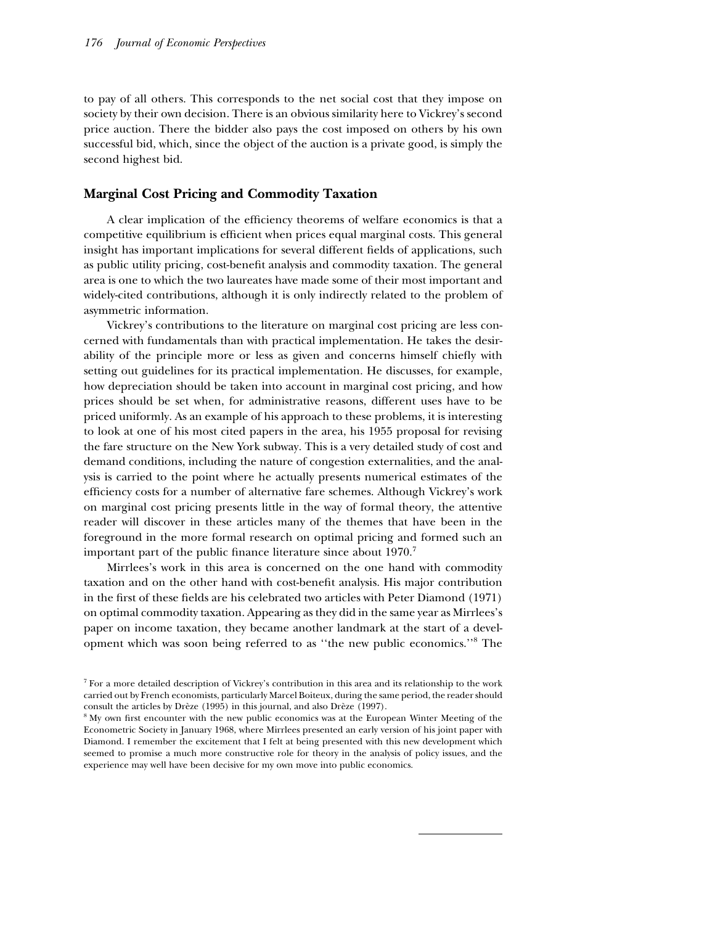to pay of all others. This corresponds to the net social cost that they impose on society by their own decision. There is an obvious similarity here to Vickrey's second price auction. There the bidder also pays the cost imposed on others by his own successful bid, which, since the object of the auction is a private good, is simply the second highest bid.

#### **Marginal Cost Pricing and Commodity Taxation**

A clear implication of the efficiency theorems of welfare economics is that a competitive equilibrium is efficient when prices equal marginal costs. This general insight has important implications for several different fields of applications, such as public utility pricing, cost-benefit analysis and commodity taxation. The general area is one to which the two laureates have made some of their most important and widely-cited contributions, although it is only indirectly related to the problem of asymmetric information.

Vickrey's contributions to the literature on marginal cost pricing are less concerned with fundamentals than with practical implementation. He takes the desirability of the principle more or less as given and concerns himself chiefly with setting out guidelines for its practical implementation. He discusses, for example, how depreciation should be taken into account in marginal cost pricing, and how prices should be set when, for administrative reasons, different uses have to be priced uniformly. As an example of his approach to these problems, it is interesting to look at one of his most cited papers in the area, his 1955 proposal for revising the fare structure on the New York subway. This is a very detailed study of cost and demand conditions, including the nature of congestion externalities, and the analysis is carried to the point where he actually presents numerical estimates of the efficiency costs for a number of alternative fare schemes. Although Vickrey's work on marginal cost pricing presents little in the way of formal theory, the attentive reader will discover in these articles many of the themes that have been in the foreground in the more formal research on optimal pricing and formed such an important part of the public finance literature since about 1970.<sup>7</sup>

Mirrlees's work in this area is concerned on the one hand with commodity taxation and on the other hand with cost-benefit analysis. His major contribution in the first of these fields are his celebrated two articles with Peter Diamond (1971) on optimal commodity taxation. Appearing as they did in the same year as Mirrlees's paper on income taxation, they became another landmark at the start of a development which was soon being referred to as ''the new public economics.''<sup>8</sup> The

<sup>7</sup> For a more detailed description of Vickrey's contribution in this area and its relationship to the work carried out by French economists, particularly Marcel Boiteux, during the same period, the reader should consult the articles by Drèze (1995) in this journal, and also Drèze (1997).

<sup>&</sup>lt;sup>8</sup> My own first encounter with the new public economics was at the European Winter Meeting of the Econometric Society in January 1968, where Mirrlees presented an early version of his joint paper with Diamond. I remember the excitement that I felt at being presented with this new development which seemed to promise a much more constructive role for theory in the analysis of policy issues, and the experience may well have been decisive for my own move into public economics.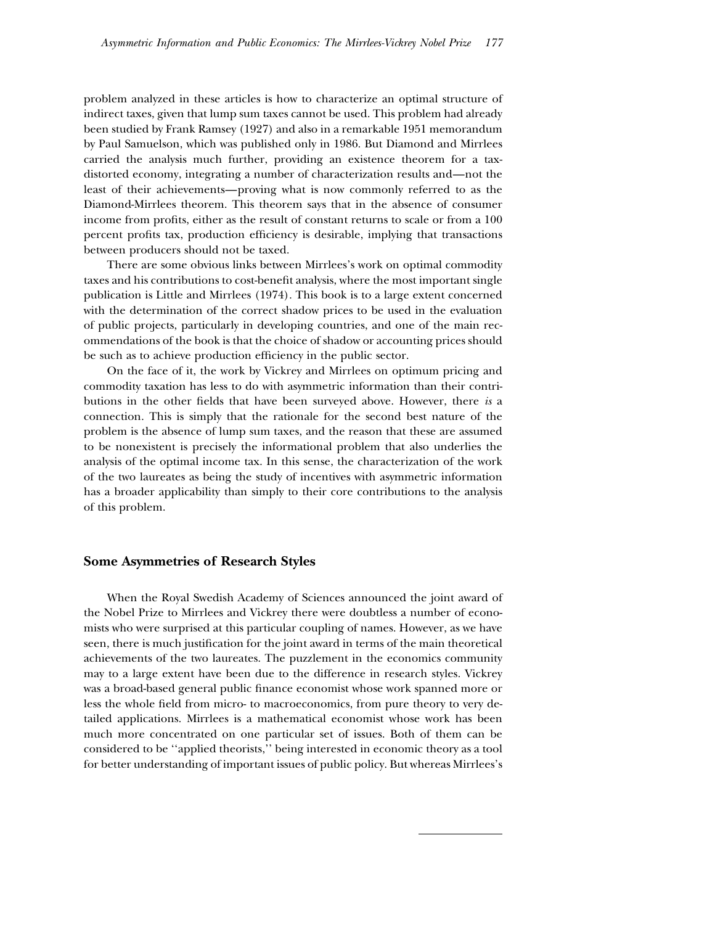problem analyzed in these articles is how to characterize an optimal structure of indirect taxes, given that lump sum taxes cannot be used. This problem had already been studied by Frank Ramsey (1927) and also in a remarkable 1951 memorandum by Paul Samuelson, which was published only in 1986. But Diamond and Mirrlees carried the analysis much further, providing an existence theorem for a taxdistorted economy, integrating a number of characterization results and—not the least of their achievements—proving what is now commonly referred to as the Diamond-Mirrlees theorem. This theorem says that in the absence of consumer income from profits, either as the result of constant returns to scale or from a 100 percent profits tax, production efficiency is desirable, implying that transactions between producers should not be taxed.

There are some obvious links between Mirrlees's work on optimal commodity taxes and his contributions to cost-benefit analysis, where the most important single publication is Little and Mirrlees (1974). This book is to a large extent concerned with the determination of the correct shadow prices to be used in the evaluation of public projects, particularly in developing countries, and one of the main recommendations of the book is that the choice of shadow or accounting prices should be such as to achieve production efficiency in the public sector.

On the face of it, the work by Vickrey and Mirrlees on optimum pricing and commodity taxation has less to do with asymmetric information than their contributions in the other fields that have been surveyed above. However, there *is* a connection. This is simply that the rationale for the second best nature of the problem is the absence of lump sum taxes, and the reason that these are assumed to be nonexistent is precisely the informational problem that also underlies the analysis of the optimal income tax. In this sense, the characterization of the work of the two laureates as being the study of incentives with asymmetric information has a broader applicability than simply to their core contributions to the analysis of this problem.

#### **Some Asymmetries of Research Styles**

When the Royal Swedish Academy of Sciences announced the joint award of the Nobel Prize to Mirrlees and Vickrey there were doubtless a number of economists who were surprised at this particular coupling of names. However, as we have seen, there is much justification for the joint award in terms of the main theoretical achievements of the two laureates. The puzzlement in the economics community may to a large extent have been due to the difference in research styles. Vickrey was a broad-based general public finance economist whose work spanned more or less the whole field from micro- to macroeconomics, from pure theory to very detailed applications. Mirrlees is a mathematical economist whose work has been much more concentrated on one particular set of issues. Both of them can be considered to be ''applied theorists,'' being interested in economic theory as a tool for better understanding of important issues of public policy. But whereas Mirrlees's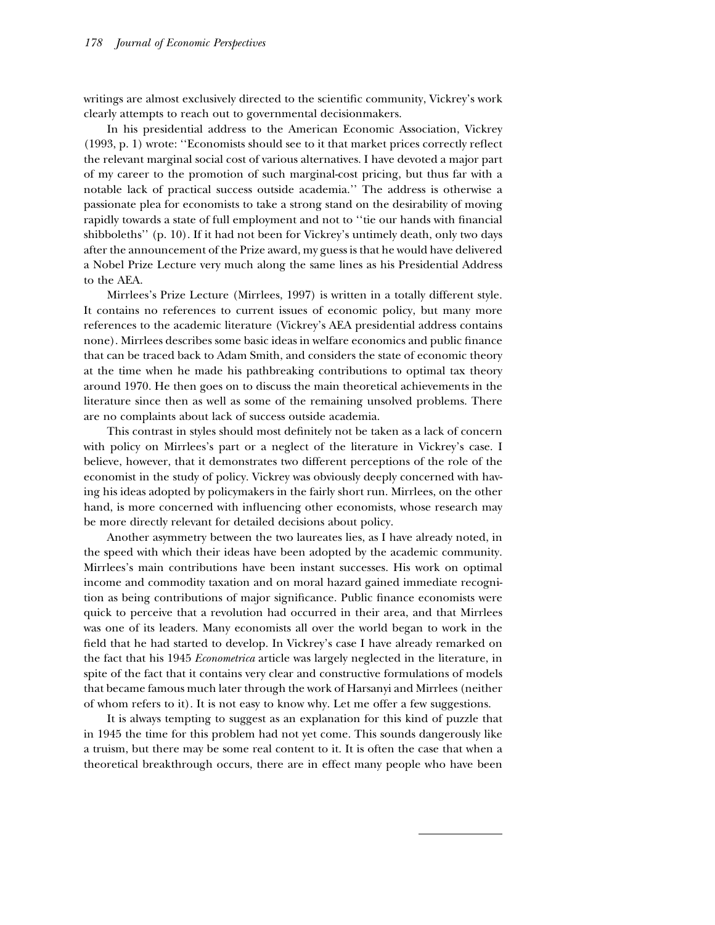writings are almost exclusively directed to the scientific community, Vickrey's work clearly attempts to reach out to governmental decisionmakers.

In his presidential address to the American Economic Association, Vickrey (1993, p. 1) wrote: ''Economists should see to it that market prices correctly reflect the relevant marginal social cost of various alternatives. I have devoted a major part of my career to the promotion of such marginal-cost pricing, but thus far with a notable lack of practical success outside academia.'' The address is otherwise a passionate plea for economists to take a strong stand on the desirability of moving rapidly towards a state of full employment and not to ''tie our hands with financial shibboleths'' (p. 10). If it had not been for Vickrey's untimely death, only two days after the announcement of the Prize award, my guess is that he would have delivered a Nobel Prize Lecture very much along the same lines as his Presidential Address to the AEA.

Mirrlees's Prize Lecture (Mirrlees, 1997) is written in a totally different style. It contains no references to current issues of economic policy, but many more references to the academic literature (Vickrey's AEA presidential address contains none). Mirrlees describes some basic ideas in welfare economics and public finance that can be traced back to Adam Smith, and considers the state of economic theory at the time when he made his pathbreaking contributions to optimal tax theory around 1970. He then goes on to discuss the main theoretical achievements in the literature since then as well as some of the remaining unsolved problems. There are no complaints about lack of success outside academia.

This contrast in styles should most definitely not be taken as a lack of concern with policy on Mirrlees's part or a neglect of the literature in Vickrey's case. I believe, however, that it demonstrates two different perceptions of the role of the economist in the study of policy. Vickrey was obviously deeply concerned with having his ideas adopted by policymakers in the fairly short run. Mirrlees, on the other hand, is more concerned with influencing other economists, whose research may be more directly relevant for detailed decisions about policy.

Another asymmetry between the two laureates lies, as I have already noted, in the speed with which their ideas have been adopted by the academic community. Mirrlees's main contributions have been instant successes. His work on optimal income and commodity taxation and on moral hazard gained immediate recognition as being contributions of major significance. Public finance economists were quick to perceive that a revolution had occurred in their area, and that Mirrlees was one of its leaders. Many economists all over the world began to work in the field that he had started to develop. In Vickrey's case I have already remarked on the fact that his 1945 *Econometrica* article was largely neglected in the literature, in spite of the fact that it contains very clear and constructive formulations of models that became famous much later through the work of Harsanyi and Mirrlees (neither of whom refers to it). It is not easy to know why. Let me offer a few suggestions.

It is always tempting to suggest as an explanation for this kind of puzzle that in 1945 the time for this problem had not yet come. This sounds dangerously like a truism, but there may be some real content to it. It is often the case that when a theoretical breakthrough occurs, there are in effect many people who have been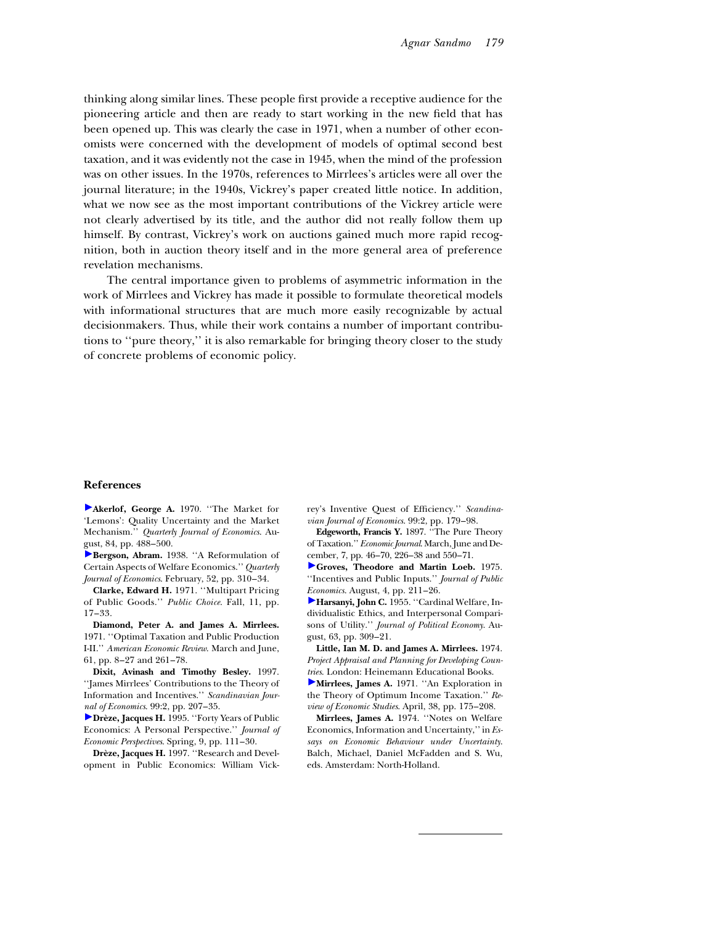thinking along similar lines. These people first provide a receptive audience for the pioneering article and then are ready to start working in the new field that has been opened up. This was clearly the case in 1971, when a number of other economists were concerned with the development of models of optimal second best taxation, and it was evidently not the case in 1945, when the mind of the profession was on other issues. In the 1970s, references to Mirrlees's articles were all over the journal literature; in the 1940s, Vickrey's paper created little notice. In addition, what we now see as the most important contributions of the Vickrey article were not clearly advertised by its title, and the author did not really follow them up himself. By contrast, Vickrey's work on auctions gained much more rapid recognition, both in auction theory itself and in the more general area of preference revelation mechanisms.

The central importance given to problems of asymmetric information in the work of Mirrlees and Vickrey has made it possible to formulate theoretical models with informational structures that are much more easily recognizable by actual decisionmakers. Thus, while their work contains a number of important contributions to ''pure theory,'' it is also remarkable for bringing theory closer to the study of concrete problems of economic policy.

#### **References**

**[A](http://pubs.aeaweb.org/action/showLinks?crossref=10.2307%2F1879431)kerlof, George A.** 1970. ''The Market for 'Lemons': Quality Uncertainty and the Market Mechanism.'' *Quarterly Journal of Economics*. Au[gu](http://pubs.aeaweb.org/action/showLinks?crossref=10.2307%2F1881737)st, 84, pp. 488–500.

**Bergson, Abram.** 1938. ''A Reformulation of Certain Aspects of Welfare Economics.'' *Quarterly Journal of Economics*. February, 52, pp. 310–34.

**Clarke, Edward H.** 1971. ''Multipart Pricing of Public Goods.'' *Public Choice*. Fall, 11, pp. 17–33.

**Diamond, Peter A. and James A. Mirrlees.** 1971. ''Optimal Taxation and Public Production I-II.'' *American Economic Review*. March and June, 61, pp. 8–27 and 261–78.

**Dixit, Avinash and Timothy Besley.** 1997. ''James Mirrlees' Contributions to the Theory of Information and Incentives.'' *Scandinavian Journal of Economics*. 99:2, pp. 207–35.

**[D](http://pubs.aeaweb.org/action/showLinks?system=10.1257%2Fjep.9.2.111)rèze, Jacques H.** 1995. "Forty Years of Public Economics: A Personal Perspective.'' *Journal of Economic Perspectives*. Spring, 9, pp. 111–30.

Drèze, Jacques H. 1997. "Research and Development in Public Economics: William Vickrey's Inventive Quest of Efficiency.'' *Scandinavian Journal of Economics*. 99:2, pp. 179–98.

**Edgeworth, Francis Y.** 1897. ''The Pure Theory of Taxation.'' *Economic Journal*. March, June and De[cem](http://pubs.aeaweb.org/action/showLinks?crossref=10.1016%2F0047-2727%2875%2990001-8)ber, 7, pp. 46–70, 226–38 and 550–71.

**Groves, Theodore and Martin Loeb.** 1975. ''Incentives and Public Inputs.'' *Journal of Public [Eco](http://pubs.aeaweb.org/action/showLinks?crossref=10.1086%2F257678)nomics*. August, 4, pp. 211–26.

**Harsanyi, John C.** 1955. ''Cardinal Welfare, Individualistic Ethics, and Interpersonal Comparisons of Utility.'' *Journal of Political Economy*. August, 63, pp. 309–21.

**Little, Ian M. D. and James A. Mirrlees.** 1974. *Project Appraisal and Planning for Developing Coun[trie](http://pubs.aeaweb.org/action/showLinks?crossref=10.2307%2F2296779)s*. London: Heinemann Educational Books.

**Mirrlees, James A.** 1971. ''An Exploration in the Theory of Optimum Income Taxation.'' *Review of Economic Studies*. April, 38, pp. 175–208.

**Mirrlees, James A.** 1974. ''Notes on Welfare Economics, Information and Uncertainty,'' in *Essays on Economic Behaviour under Uncertainty*. Balch, Michael, Daniel McFadden and S. Wu, eds. Amsterdam: North-Holland.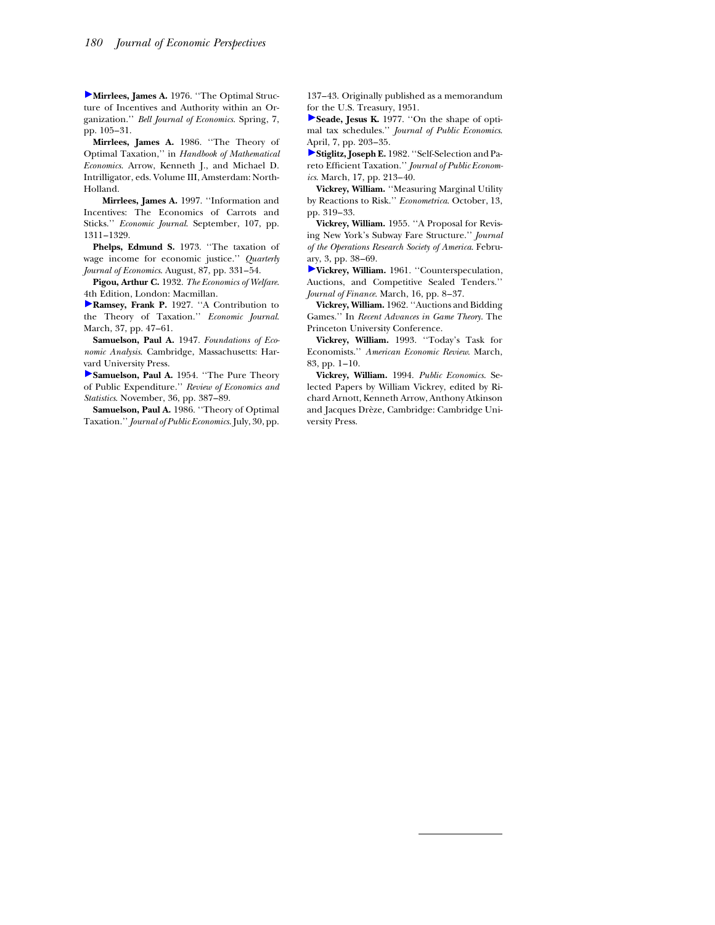[M](http://pubs.aeaweb.org/action/showLinks?crossref=10.2307%2F3003192)irrlees, James A. 1976. "The Optimal Structure of Incentives and Authority within an Organization.'' *Bell Journal of Economics*. Spring, 7, pp. 105–31.

**Mirrlees, James A.** 1986. ''The Theory of Optimal Taxation,'' in *Handbook of Mathematical Economics*. Arrow, Kenneth J., and Michael D. Intrilligator, eds. Volume III, Amsterdam: North-Holland.

**Mirrlees, James A.** 1997. ''Information and Incentives: The Economics of Carrots and Sticks.'' *Economic Journal*. September, 107, pp. 1311–1329.

**Phelps, Edmund S.** 1973. ''The taxation of wage income for economic justice.'' *Quarterly Journal of Economics*. August, 87, pp. 331–54.

**Pigou, Arthur C.** 1932. *The Economics of Welfare*. [4th](http://pubs.aeaweb.org/action/showLinks?crossref=10.2307%2F2222721) Edition, London: Macmillan.

**Ramsey, Frank P.** 1927. ''A Contribution to the Theory of Taxation.'' *Economic Journal*. March, 37, pp. 47–61.

**Samuelson, Paul A.** 1947. *Foundations of Economic Analysis*. Cambridge, Massachusetts: Harvard University Press.

**[S](http://pubs.aeaweb.org/action/showLinks?crossref=10.2307%2F1925895)amuelson, Paul A.** 1954. ''The Pure Theory of Public Expenditure.'' *Review of Economics and Statistics*. November, 36, pp. 387–89.

**Samuelson, Paul A.** 1986. ''Theory of Optimal Taxation.'' *Journal of Public Economics*. July, 30, pp. 137–43. Originally published as a memorandum for the U.S. Treasury, 1951.

**[S](http://pubs.aeaweb.org/action/showLinks?crossref=10.1016%2F0047-2727%2877%2990046-9)eade, Jesus K.** 1977. ''On the shape of optimal tax schedules.'' *Journal of Public Economics*. [Ap](http://pubs.aeaweb.org/action/showLinks?crossref=10.1016%2F0047-2727%2882%2990020-2)ril, 7, pp. 203–35.

**Stiglitz, Joseph E.** 1982. ''Self-Selection and Pareto Efficient Taxation.'' *Journal of Public Economics*. March, 17, pp. 213–40.

**Vickrey, William.** ''Measuring Marginal Utility by Reactions to Risk.'' *Econometrica*. October, 13, pp. 319–33.

**Vickrey, William.** 1955. ''A Proposal for Revising New York's Subway Fare Structure.'' *Journal of the Operations Research Society of America*. Febru[ary](http://pubs.aeaweb.org/action/showLinks?crossref=10.2307%2F2977633), 3, pp. 38–69.

**Vickrey, William.** 1961. ''Counterspeculation, Auctions, and Competitive Sealed Tenders.'' *Journal of Finance*. March, 16, pp. 8–37.

**Vickrey, William.** 1962. ''Auctions and Bidding Games.'' In *Recent Advances in Game Theory*. The Princeton University Conference.

**Vickrey, William.** 1993. ''Today's Task for Economists.'' *American Economic Review*. March, 83, pp. 1–10.

**Vickrey, William.** 1994. *Public Economics*. Selected Papers by William Vickrey, edited by Richard Arnott, Kenneth Arrow, Anthony Atkinson and Jacques Drèze, Cambridge: Cambridge University Press.